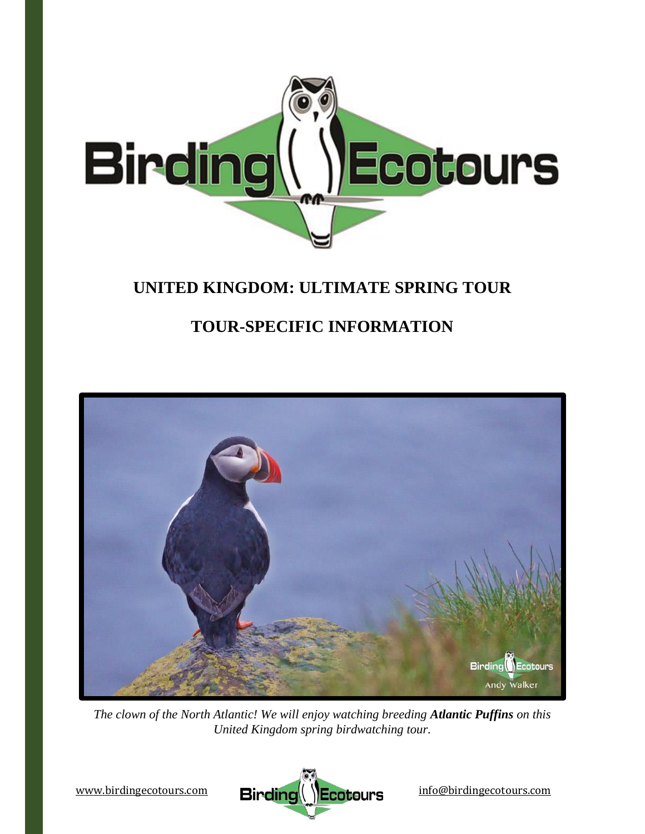

## **UNITED KINGDOM: ULTIMATE SPRING TOUR**

# **TOUR-SPECIFIC INFORMATION**



*The clown of the North Atlantic! We will enjoy watching breeding Atlantic Puffins on this United Kingdom spring birdwatching tour.*

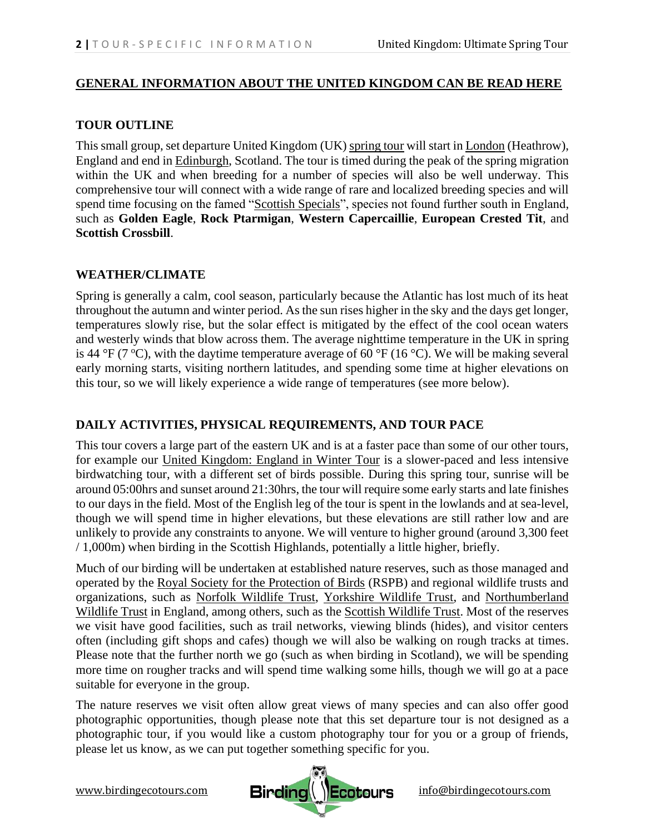#### **[GENERAL INFORMATION ABOUT THE UNITED KINGDOM CAN BE READ HERE](https://www.birdingecotours.com/uk-country-info/)**

## **TOUR OUTLINE**

This small group, set departure United Kingdom (UK) [spring tour](https://www.birdingecotours.com/tour/birding-tour-uk-spring-tour/) will start in [London](https://www.visitlondon.com/) (Heathrow), England and end in [Edinburgh,](https://edinburgh.org/) Scotland. The tour is timed during the peak of the spring migration within the UK and when breeding for a number of species will also be well underway. This comprehensive tour will connect with a wide range of rare and localized breeding species and will spend time focusing on the famed ["Scottish Specials"](https://www.must-see-scotland.com/birds-in-scotland), species not found further south in England, such as **Golden Eagle**, **Rock Ptarmigan**, **Western Capercaillie**, **European Crested Tit**, and **Scottish Crossbill**.

## **WEATHER/CLIMATE**

Spring is generally a calm, cool season, particularly because the Atlantic has lost much of its heat throughout the autumn and winter period. As the sun rises higher in the sky and the days get longer, temperatures slowly rise, but the solar effect is mitigated by the effect of the cool ocean waters and westerly winds that blow across them. The average nighttime temperature in the UK in spring is 44 °F (7 °C), with the daytime temperature average of 60 °F (16 °C). We will be making several early morning starts, visiting northern latitudes, and spending some time at higher elevations on this tour, so we will likely experience a wide range of temperatures (see more below).

## **DAILY ACTIVITIES, PHYSICAL REQUIREMENTS, AND TOUR PACE**

This tour covers a large part of the eastern UK and is at a faster pace than some of our other tours, for example our [United Kingdom: England in Winter Tour](https://www.birdingecotours.com/tour/england-in-winter/) is a slower-paced and less intensive birdwatching tour, with a different set of birds possible. During this spring tour, sunrise will be around 05:00hrs and sunset around 21:30hrs, the tour will require some early starts and late finishes to our days in the field. Most of the English leg of the tour is spent in the lowlands and at sea-level, though we will spend time in higher elevations, but these elevations are still rather low and are unlikely to provide any constraints to anyone. We will venture to higher ground (around 3,300 feet / 1,000m) when birding in the Scottish Highlands, potentially a little higher, briefly.

Much of our birding will be undertaken at established nature reserves, such as those managed and operated by the [Royal Society for the Protection of Birds](https://www.rspb.org.uk/) (RSPB) and regional wildlife trusts and organizations, such as [Norfolk Wildlife Trust,](https://www.norfolkwildlifetrust.org.uk/home) [Yorkshire Wildlife Trust,](https://www.ywt.org.uk/) and [Northumberland](https://www.nwt.org.uk/)  [Wildlife Trust](https://www.nwt.org.uk/) in England, among others, such as the [Scottish Wildlife Trust.](https://scottishwildlifetrust.org.uk/) Most of the reserves we visit have good facilities, such as trail networks, viewing blinds (hides), and visitor centers often (including gift shops and cafes) though we will also be walking on rough tracks at times. Please note that the further north we go (such as when birding in Scotland), we will be spending more time on rougher tracks and will spend time walking some hills, though we will go at a pace suitable for everyone in the group.

The nature reserves we visit often allow great views of many species and can also offer good photographic opportunities, though please note that this set departure tour is not designed as a photographic tour, if you would like a custom photography tour for you or a group of friends, please let us know, as we can put together something specific for you.